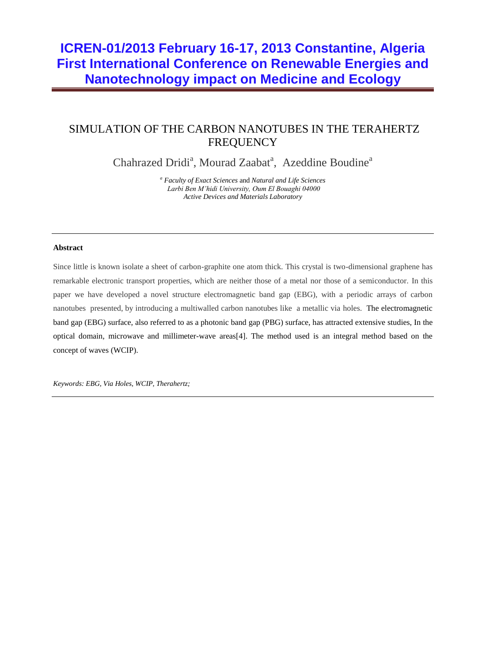# **ICREN-01/2013 February 16-17, 2013 Constantine, Algeria First International Conference on Renewable Energies and Nanotechnology impact on Medicine and Ecology**

## SIMULATION OF THE CARBON NANOTUBES IN THE TERAHERTZ **FREQUENCY**

Chahrazed Dridi<sup>a</sup>, Mourad Zaabat<sup>a</sup>, Azeddine Boudine<sup>a</sup>

*<sup>a</sup> Faculty of Exact Sciences* and *Natural and Life Sciences Larbi Ben M'hidi University, Oum El Bouaghi 04000 Active Devices and Materials Laboratory*

#### **Abstract**

Since little is known isolate a sheet of carbon-graphite one atom thick. This crystal is two-dimensional graphene has remarkable electronic transport properties, which are neither those of a metal nor those of a semiconductor. In this paper we have developed a novel structure electromagnetic band gap (EBG), with a periodic arrays of carbon nanotubes presented, by introducing a multiwalled carbon nanotubes like a metallic via holes. The electromagnetic band gap (EBG) surface, also referred to as a photonic band gap (PBG) surface, has attracted extensive studies, In the optical domain, microwave and millimeter-wave areas[4]. The method used is an integral method based on the concept of waves (WCIP).

*Keywords: EBG, Via Holes, WCIP, Therahertz;*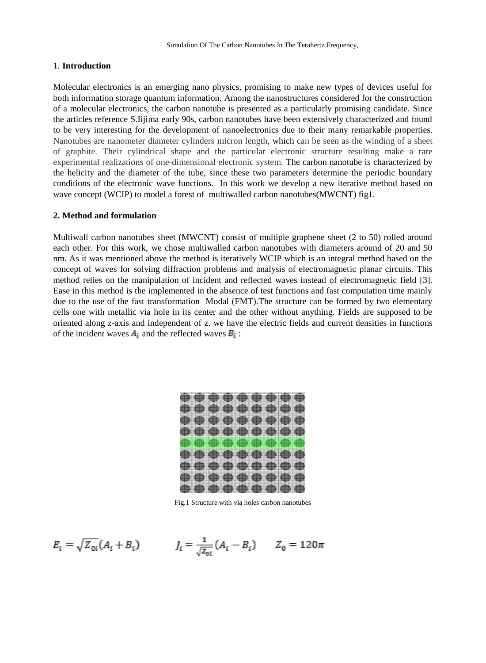#### 1. **Introduction**

Molecular electronics is an emerging nano physics, promising to make new types of devices useful for both information storage quantum information. Among the nanostructures considered for the construction of a molecular electronics, the carbon nanotube is presented as a particularly promising candidate. Since the articles reference S.Iijima early 90s, carbon nanotubes have been extensively characterized and found to be very interesting for the development of nanoelectronics due to their many remarkable properties. Nanotubes are nanometer diameter cylinders micron length, which can be seen as the winding of a sheet of graphite. Their cylindrical shape and the particular electronic structure resulting make a rare experimental realizations of one-dimensional electronic system. The carbon nanotube is characterized by the helicity and the diameter of the tube, since these two parameters determine the periodic boundary conditions of the electronic wave functions. In this work we develop a new iterative method based on wave concept (WCIP) to model a forest of multiwalled carbon nanotubes(MWCNT) fig1.

#### **2. Method and formulation**

Multiwall carbon nanotubes sheet (MWCNT) consist of multiple graphene sheet (2 to 50) rolled around each other. For this work, we chose multiwalled carbon nanotubes with diameters around of 20 and 50 nm. As it was mentioned above the method is iteratively WCIP which is an integral method based on the concept of waves for solving diffraction problems and analysis of electromagnetic planar circuits. This method relies on the manipulation of incident and reflected waves instead of electromagnetic field [3]. Ease in this method is the implemented in the absence of test functions and fast computation time mainly due to the use of the fast transformation Modal (FMT).The structure can be formed by two elementary cells one with metallic via hole in its center and the other without anything. Fields are supposed to be oriented along z-axis and independent of z. we have the electric fields and current densities in functions of the incident waves  $A_i$  and the reflected waves  $B_i$ :

|  |  | OD OD OD OD OD OD OD OD OD |  |  |
|--|--|----------------------------|--|--|
|  |  |                            |  |  |
|  |  |                            |  |  |
|  |  |                            |  |  |
|  |  |                            |  |  |

Fig.1 Structure with via holes carbon nanotubes

$$
E_i = \sqrt{Z_{0i}} (A_i + B_i) \qquad I_i = \frac{1}{\sqrt{Z_{0i}}} (A_i - B_i) \qquad Z_0 = 120\pi
$$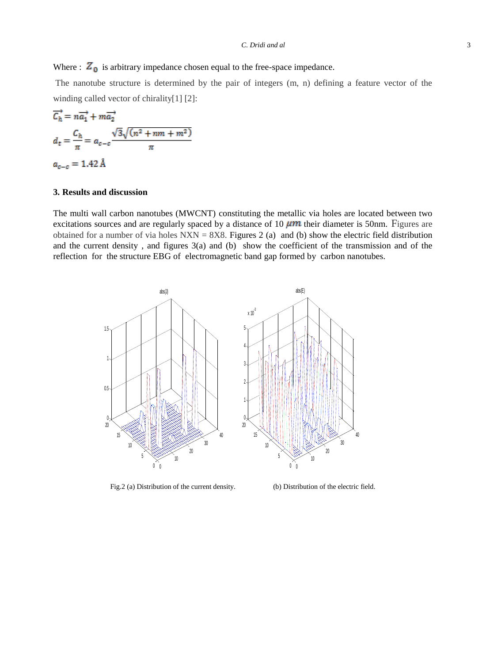Where :  $Z_0$  is arbitrary impedance chosen equal to the free-space impedance.

The nanotube structure is determined by the pair of integers (m, n) defining a feature vector of the winding called vector of chirality[1] [2]:

$$
\overline{C_h} = n\overline{a_1} + m\overline{a_2}
$$

$$
d_t = \frac{C_h}{\pi} = a_{c-c} \frac{\sqrt{3}\sqrt{(n^2 + nm + m^2)}}{\pi}
$$

$$
a_{c-c} = 1.42 \text{ Å}
$$

### **3. Results and discussion**

The multi wall carbon nanotubes (MWCNT) constituting the metallic via holes are located between two excitations sources and are regularly spaced by a distance of 10  $\mu$ m their diameter is 50nm. Figures are obtained for a number of via holes  $NXN = 8X8$ . Figures 2 (a) and (b) show the electric field distribution and the current density, and figures  $3(a)$  and (b) show the coefficient of the transmission and of the reflection for the structure EBG of electromagnetic band gap formed by carbon nanotubes.



Fig.2 (a) Distribution of the current density. (b) Distribution of the electric field.